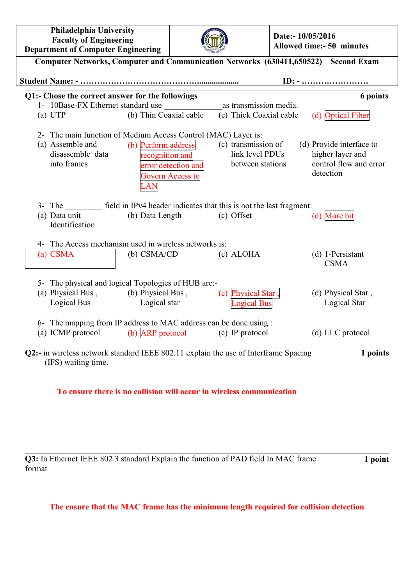| Philadelphia University<br><b>Faculty of Engineering</b><br><b>Department of Computer Engineering</b>                  |                                               |                                         |                                                            | Date:- 10/05/2016<br><b>Allowed time:- 50 minutes</b> |                                                                                     |  |
|------------------------------------------------------------------------------------------------------------------------|-----------------------------------------------|-----------------------------------------|------------------------------------------------------------|-------------------------------------------------------|-------------------------------------------------------------------------------------|--|
| Computer Networks, Computer and Communication Networks (630411,650522) Second Exam                                     |                                               |                                         |                                                            |                                                       |                                                                                     |  |
|                                                                                                                        |                                               |                                         |                                                            |                                                       | $ID: - \dots \dots \dots \dots \dots \dots$                                         |  |
| Q1:- Chose the correct answer for the followings<br>6 points                                                           |                                               |                                         |                                                            |                                                       |                                                                                     |  |
| 1- 10Base-FX Ethernet standard use                                                                                     |                                               |                                         | as transmission media.                                     |                                                       |                                                                                     |  |
| (a) UTP                                                                                                                | (b) Thin Coaxial cable                        |                                         | (c) Thick Coaxial cable                                    |                                                       | (d) Optical Fiber                                                                   |  |
| 2- The main function of Medium Access Control (MAC) Layer is:<br>(a) Assemble and<br>disassemble data<br>into frames   | (b) Perform address<br>recognition and<br>LAN | error detection and<br>Govern Access to | (c) transmission of<br>link level PDUs<br>between stations |                                                       | (d) Provide interface to<br>higher layer and<br>control flow and error<br>detection |  |
| 3- The field in IPv4 header indicates that this is not the last fragment:<br>(a) Data unit<br>Identification           | (b) Data Length                               |                                         | (c) Offset                                                 |                                                       | (d) More bit                                                                        |  |
| 4- The Access mechanism used in wireless networks is:                                                                  |                                               |                                         |                                                            |                                                       |                                                                                     |  |
| (a) CSMA                                                                                                               | $(b)$ CSMA/CD                                 |                                         | (c) ALOHA                                                  |                                                       | $(d)$ 1-Persistant<br><b>CSMA</b>                                                   |  |
| 5- The physical and logical Topologies of HUB are:-                                                                    |                                               |                                         |                                                            |                                                       |                                                                                     |  |
| (a) Physical Bus, (b) Physical Bus,                                                                                    |                                               |                                         | (c) Physical Star,                                         |                                                       | (d) Physical Star,                                                                  |  |
| Logical Bus                                                                                                            | Logical star                                  |                                         | <b>Logical Bus</b>                                         |                                                       | Logical Star                                                                        |  |
| 6- The mapping from IP address to MAC address can be done using :                                                      |                                               |                                         |                                                            |                                                       |                                                                                     |  |
| (a) ICMP protocol                                                                                                      | (b) ARP protocol                              |                                         | (c) IP protocol                                            |                                                       | (d) LLC protocol                                                                    |  |
| Q2:- in wireless network standard IEEE 802.11 explain the use of Interframe Spacing<br>1 points<br>(IFS) waiting time. |                                               |                                         |                                                            |                                                       |                                                                                     |  |

**To ensure there is no collision will occur in wireless communication**

**Q3:** In Ethernet IEEE 802.3 standard Explain the function of PAD field In MAC frame format

**1 point**

## **The ensure that the MAC frame has the minimum length required for collision detection**